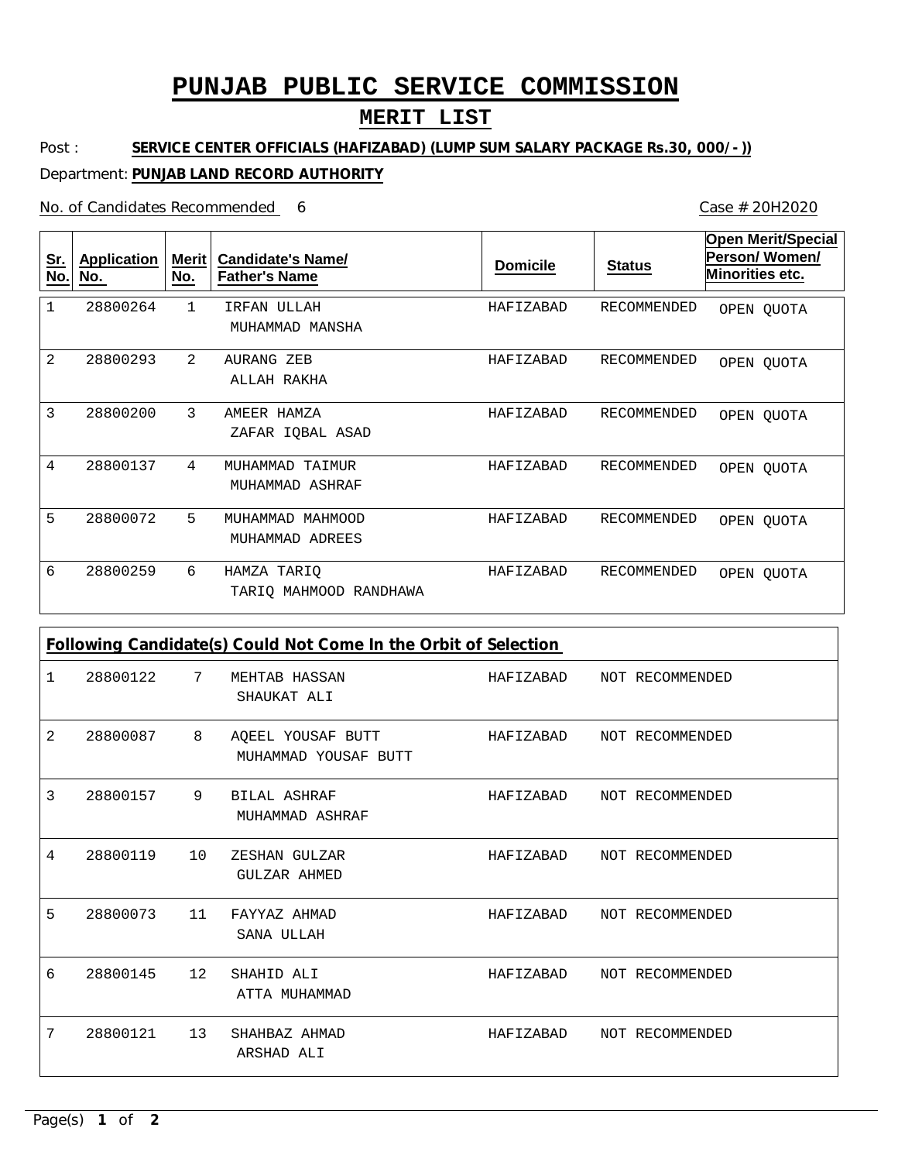# **PUNJAB PUBLIC SERVICE COMMISSION**

### **MERIT LIST**

Post : **SERVICE CENTER OFFICIALS (HAFIZABAD) (LUMP SUM SALARY PACKAGE Rs.30, 000/-))**

#### Department: **PUNJAB LAND RECORD AUTHORITY**

No. of Candidates Recommended

1 2 3 4 5 6 IRFAN ULLAH AURANG ZEB AMEER HAMZA MUHAMMAD TAIMUR MUHAMMAD MAHMOOD HAMZA TARIQ MUHAMMAD MANSHA ALLAH RAKHA ZAFAR IQBAL ASAD MUHAMMAD ASHRAF MUHAMMAD ADREES TARIQ MAHMOOD RANDHAWA 1 2 3 4 5 6 28800264 28800293 28800200 28800137 28800072 28800259 HAFIZABAD HAFIZABAD HAFIZABAD HAFIZABAD HAFIZABAD HAFIZABAD RECOMMENDED RECOMMENDED RECOMMENDED RECOMMENDED RECOMMENDED RECOMMENDED **Sr. No. Application No. Merit No. Candidate's Name/ Father's Name Domicile Status Open Merit/Special Person/ Women/ Minorities etc.** OPEN QUOTA OPEN QUOTA OPEN QUOTA OPEN QUOTA OPEN QUOTA OPEN QUOTA

| Following Candidate(s) Could Not Come In the Orbit of Selection |          |    |                                           |           |                 |  |  |  |  |
|-----------------------------------------------------------------|----------|----|-------------------------------------------|-----------|-----------------|--|--|--|--|
| 1                                                               | 28800122 | 7  | MEHTAB HASSAN<br>SHAUKAT ALI              | HAFIZABAD | NOT RECOMMENDED |  |  |  |  |
| 2                                                               | 28800087 | 8  | AOEEL YOUSAF BUTT<br>MUHAMMAD YOUSAF BUTT | HAFIZABAD | NOT RECOMMENDED |  |  |  |  |
| 3                                                               | 28800157 | 9  | <b>BILAL ASHRAF</b><br>MUHAMMAD ASHRAF    | HAFIZABAD | NOT RECOMMENDED |  |  |  |  |
| 4                                                               | 28800119 | 10 | ZESHAN GULZAR<br>GULZAR AHMED             | HAFIZABAD | NOT RECOMMENDED |  |  |  |  |
| 5                                                               | 28800073 | 11 | FAYYAZ AHMAD<br>SANA ULLAH                | HAFIZABAD | NOT RECOMMENDED |  |  |  |  |
| 6                                                               | 28800145 | 12 | SHAHID ALI<br>ATTA MUHAMMAD               | HAFIZABAD | NOT RECOMMENDED |  |  |  |  |
| 7                                                               | 28800121 | 13 | SHAHBAZ AHMAD<br>ARSHAD ALI               | HAFIZABAD | NOT RECOMMENDED |  |  |  |  |

6 Case # 20H2020